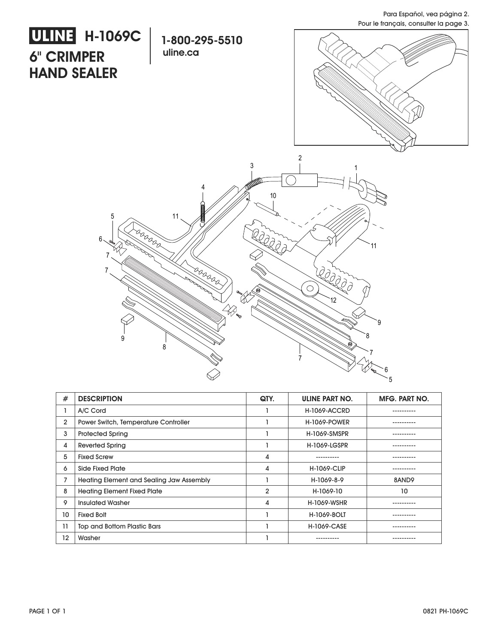Para Español, vea página 2. Pour le français, consulter la page 3.



| #              | <b>DESCRIPTION</b>                              | QTY.           | <b>ULINE PART NO.</b> | <b>MFG. PART NO.</b> |
|----------------|-------------------------------------------------|----------------|-----------------------|----------------------|
|                | A/C Cord                                        |                | <b>H-1069-ACCRD</b>   |                      |
| $\overline{2}$ | Power Switch, Temperature Controller            |                | <b>H-1069-POWER</b>   |                      |
| 3              | <b>Protected Spring</b>                         |                | H-1069-SMSPR          |                      |
| 4              | <b>Reverted Spring</b>                          |                | <b>H-1069-LGSPR</b>   |                      |
| 5              | <b>Fixed Screw</b>                              | 4              | ----------            |                      |
| 6              | Side Fixed Plate                                | 4              | <b>H-1069-CLIP</b>    | .                    |
| 7              | <b>Heating Element and Sealing Jaw Assembly</b> |                | H-1069-8-9            | 8AND9                |
| 8              | <b>Heating Element Fixed Plate</b>              | $\overline{2}$ | H-1069-10             | 10                   |
| 9              | <b>Insulated Washer</b>                         | 4              | <b>H-1069-WSHR</b>    |                      |
| 10             | <b>Fixed Bolt</b>                               |                | <b>H-1069-BOLT</b>    |                      |
| 11             | <b>Top and Bottom Plastic Bars</b>              |                | <b>H-1069-CASE</b>    |                      |
| 12             | Washer                                          |                | ---------             |                      |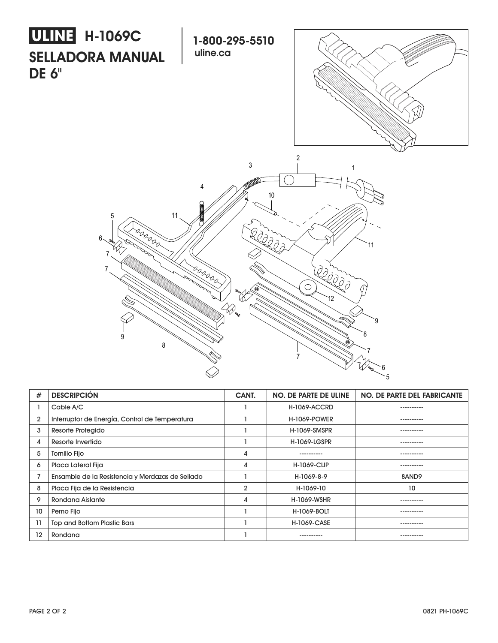

| #  | <b>DESCRIPCIÓN</b>                               | CANT.          | NO. DE PARTE DE ULINE | <b>NO. DE PARTE DEL FABRICANTE</b> |
|----|--------------------------------------------------|----------------|-----------------------|------------------------------------|
|    | Cable A/C                                        |                | <b>H-1069-ACCRD</b>   | ----------                         |
| 2  | Interruptor de Energía, Control de Temperatura   |                | <b>H-1069-POWER</b>   |                                    |
| 3  | Resorte Protegido                                |                | <b>H-1069-SMSPR</b>   | ----------                         |
| 4  | Resorte Invertido                                |                | <b>H-1069-LGSPR</b>   | ----------                         |
| 5  | <b>Tornillo Fijo</b>                             | 4              | ----------            | ----------                         |
| 6  | Placa Lateral Fija                               | 4              | <b>H-1069-CLIP</b>    | .                                  |
|    | Ensamble de la Resistencia y Merdazas de Sellado |                | H-1069-8-9            | 8AND9                              |
| 8  | Placa Fija de la Resistencia                     | $\overline{2}$ | H-1069-10             | 10                                 |
| 9  | <b>Rondana Aislante</b>                          | 4              | <b>H-1069-WSHR</b>    |                                    |
| 10 | Perno Fijo                                       |                | <b>H-1069-BOLT</b>    | ----------                         |
| 11 | <b>Top and Bottom Plastic Bars</b>               |                | <b>H-1069-CASE</b>    | ----------                         |
| 12 | Rondana                                          |                |                       | ---------                          |